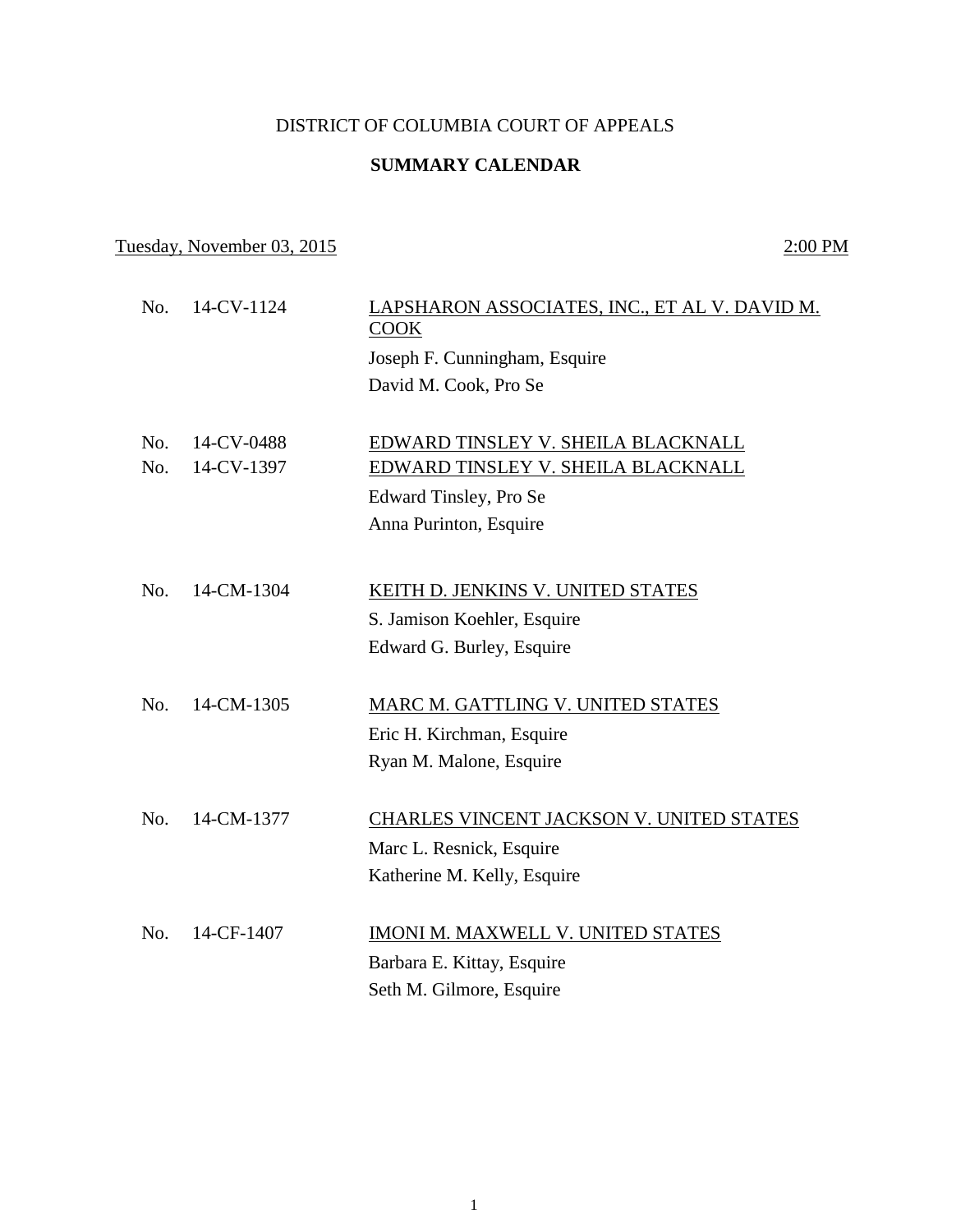### DISTRICT OF COLUMBIA COURT OF APPEALS

### **SUMMARY CALENDAR**

# Tuesday, November 03, 2015 2:00 PM

| No. | 14-CV-1124 | LAPSHARON ASSOCIATES, INC., ET AL V. DAVID M.<br>COOK |
|-----|------------|-------------------------------------------------------|
|     |            | Joseph F. Cunningham, Esquire                         |
|     |            | David M. Cook, Pro Se                                 |
|     |            |                                                       |
| No. | 14-CV-0488 | EDWARD TINSLEY V. SHEILA BLACKNALL                    |
| No. | 14-CV-1397 | EDWARD TINSLEY V. SHEILA BLACKNALL                    |
|     |            | Edward Tinsley, Pro Se                                |
|     |            | Anna Purinton, Esquire                                |
|     |            |                                                       |
| No. | 14-CM-1304 | KEITH D. JENKINS V. UNITED STATES                     |
|     |            | S. Jamison Koehler, Esquire                           |
|     |            | Edward G. Burley, Esquire                             |
|     |            |                                                       |
| No. | 14-CM-1305 | MARC M. GATTLING V. UNITED STATES                     |
|     |            | Eric H. Kirchman, Esquire                             |
|     |            | Ryan M. Malone, Esquire                               |
|     |            |                                                       |
| No. | 14-CM-1377 | CHARLES VINCENT JACKSON V. UNITED STATES              |
|     |            | Marc L. Resnick, Esquire                              |
|     |            | Katherine M. Kelly, Esquire                           |
|     |            |                                                       |
| No. | 14-CF-1407 | IMONI M. MAXWELL V. UNITED STATES                     |
|     |            | Barbara E. Kittay, Esquire                            |
|     |            | Seth M. Gilmore, Esquire                              |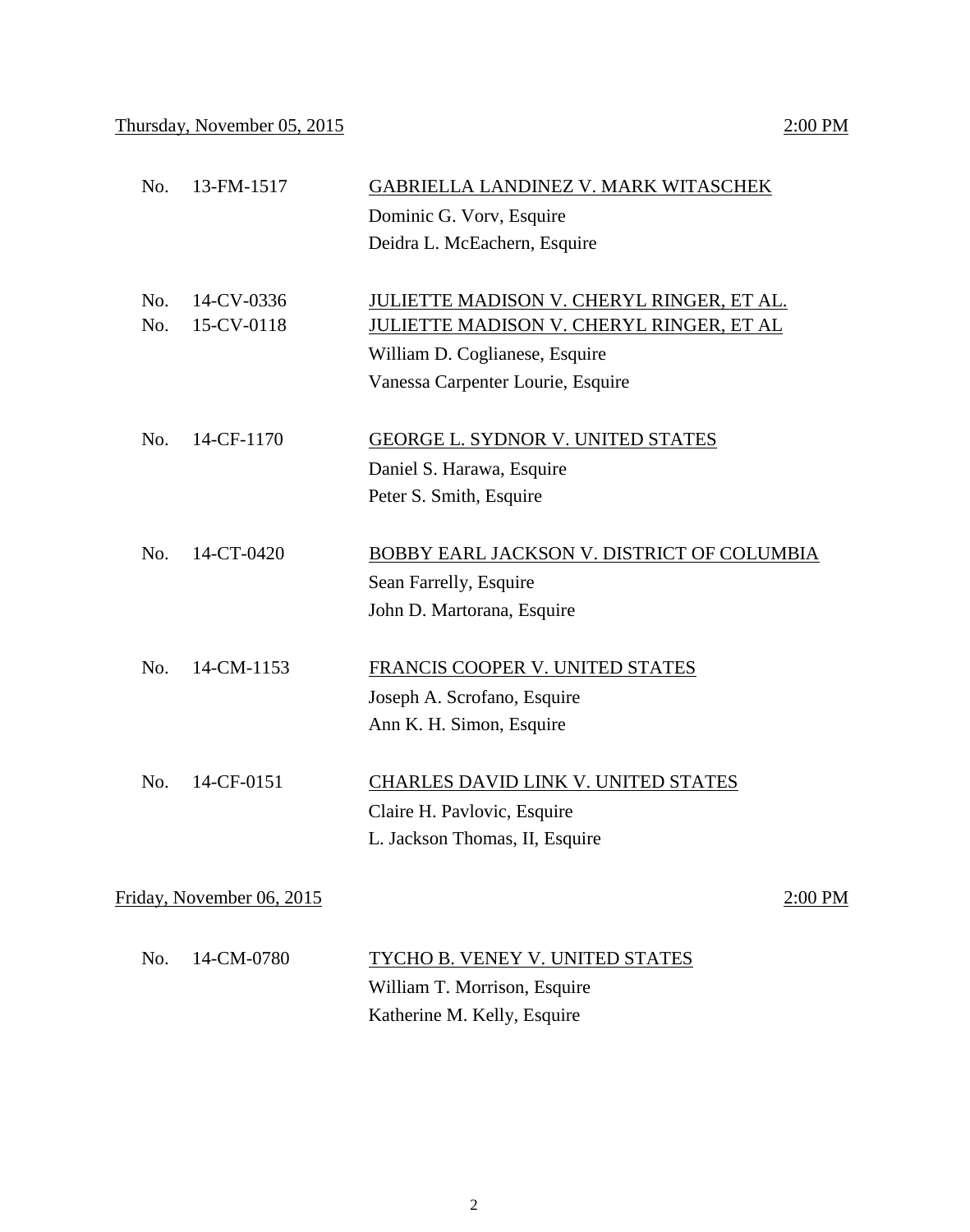| No.        | 13-FM-1517               | GABRIELLA LANDINEZ V. MARK WITASCHEK<br>Dominic G. Vory, Esquire<br>Deidra L. McEachern, Esquire                                                             |
|------------|--------------------------|--------------------------------------------------------------------------------------------------------------------------------------------------------------|
| No.<br>No. | 14-CV-0336<br>15-CV-0118 | JULIETTE MADISON V. CHERYL RINGER, ET AL.<br>JULIETTE MADISON V. CHERYL RINGER, ET AL<br>William D. Coglianese, Esquire<br>Vanessa Carpenter Lourie, Esquire |
| No.        | 14-CF-1170               | <b>GEORGE L. SYDNOR V. UNITED STATES</b><br>Daniel S. Harawa, Esquire<br>Peter S. Smith, Esquire                                                             |
| No.        | 14-CT-0420               | BOBBY EARL JACKSON V. DISTRICT OF COLUMBIA<br>Sean Farrelly, Esquire<br>John D. Martorana, Esquire                                                           |
| No.        | 14-CM-1153               | FRANCIS COOPER V. UNITED STATES<br>Joseph A. Scrofano, Esquire<br>Ann K. H. Simon, Esquire                                                                   |
| No.        | 14-CF-0151               | CHARLES DAVID LINK V. UNITED STATES                                                                                                                          |

Claire H. Pavlovic, Esquire L. Jackson Thomas, II, Esquire

Friday, November 06, 2015 2:00 PM

| No. 14-CM-0780 | TYCHO B. VENEY V. UNITED STATES |
|----------------|---------------------------------|
|                | William T. Morrison, Esquire    |
|                | Katherine M. Kelly, Esquire     |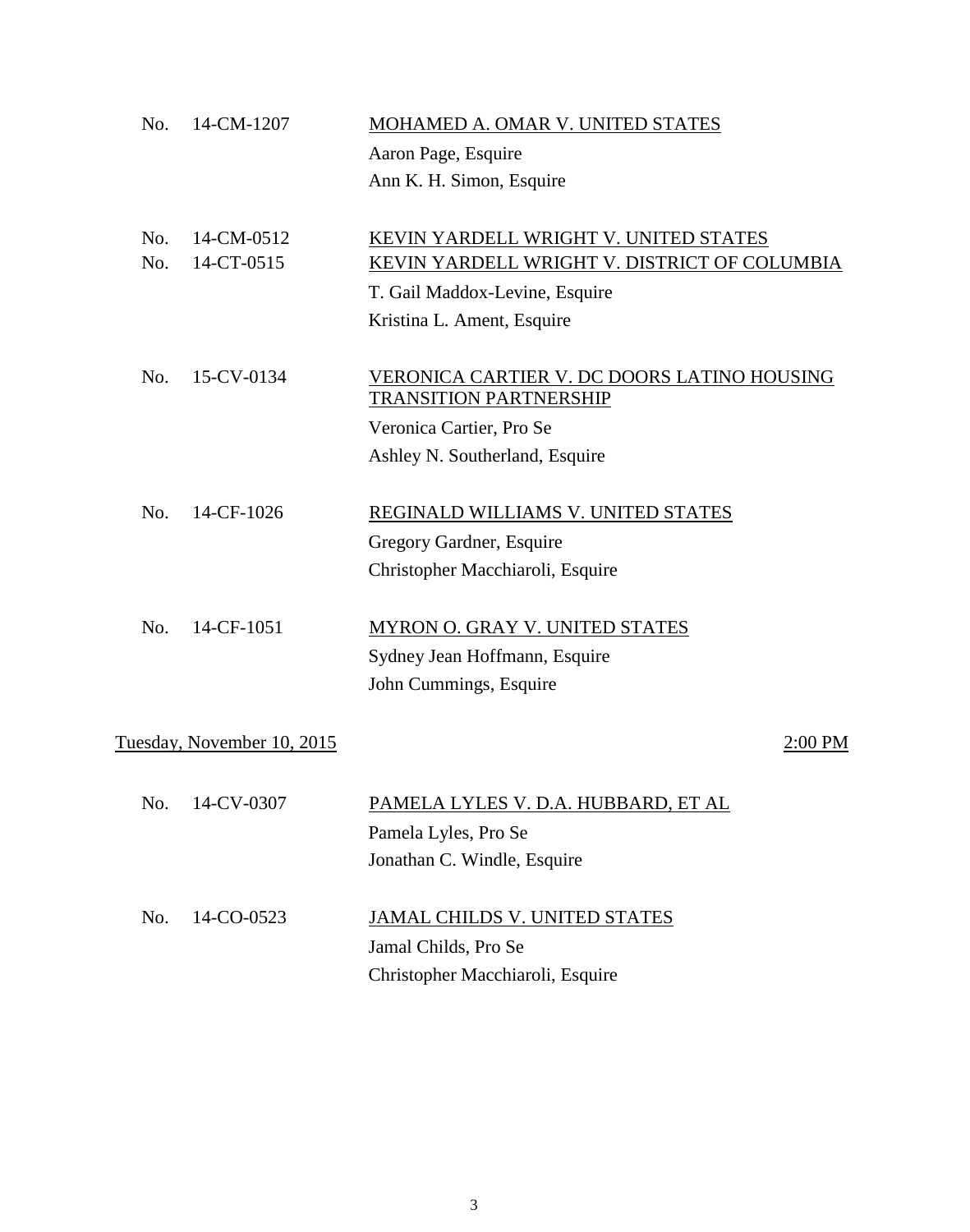| No. | 14-CM-1207                 | MOHAMED A. OMAR V. UNITED STATES             |
|-----|----------------------------|----------------------------------------------|
|     |                            | Aaron Page, Esquire                          |
|     |                            | Ann K. H. Simon, Esquire                     |
|     |                            |                                              |
| No. | 14-CM-0512                 | KEVIN YARDELL WRIGHT V. UNITED STATES        |
| No. | 14-CT-0515                 | KEVIN YARDELL WRIGHT V. DISTRICT OF COLUMBIA |
|     |                            | T. Gail Maddox-Levine, Esquire               |
|     |                            | Kristina L. Ament, Esquire                   |
| No. | 15-CV-0134                 | VERONICA CARTIER V. DC DOORS LATINO HOUSING  |
|     |                            | <b>TRANSITION PARTNERSHIP</b>                |
|     |                            | Veronica Cartier, Pro Se                     |
|     |                            | Ashley N. Southerland, Esquire               |
| No. | 14-CF-1026                 | REGINALD WILLIAMS V. UNITED STATES           |
|     |                            | Gregory Gardner, Esquire                     |
|     |                            | Christopher Macchiaroli, Esquire             |
|     |                            |                                              |
| No. | 14-CF-1051                 | MYRON O. GRAY V. UNITED STATES               |
|     |                            | Sydney Jean Hoffmann, Esquire                |
|     |                            | John Cummings, Esquire                       |
|     | Tuesday, November 10, 2015 | 2:00 PM                                      |
|     |                            |                                              |
| No. | 14-CV-0307                 | <u>PAMELA LYLES V. D.A. HUBBARD, ET AL</u>   |
|     |                            | Pamela Lyles, Pro Se                         |
|     |                            | Jonathan C. Windle, Esquire                  |
| No. | 14-CO-0523                 | <b>JAMAL CHILDS V. UNITED STATES</b>         |
|     |                            | Jamal Childs, Pro Se                         |
|     |                            | Christopher Macchiaroli, Esquire             |
|     |                            |                                              |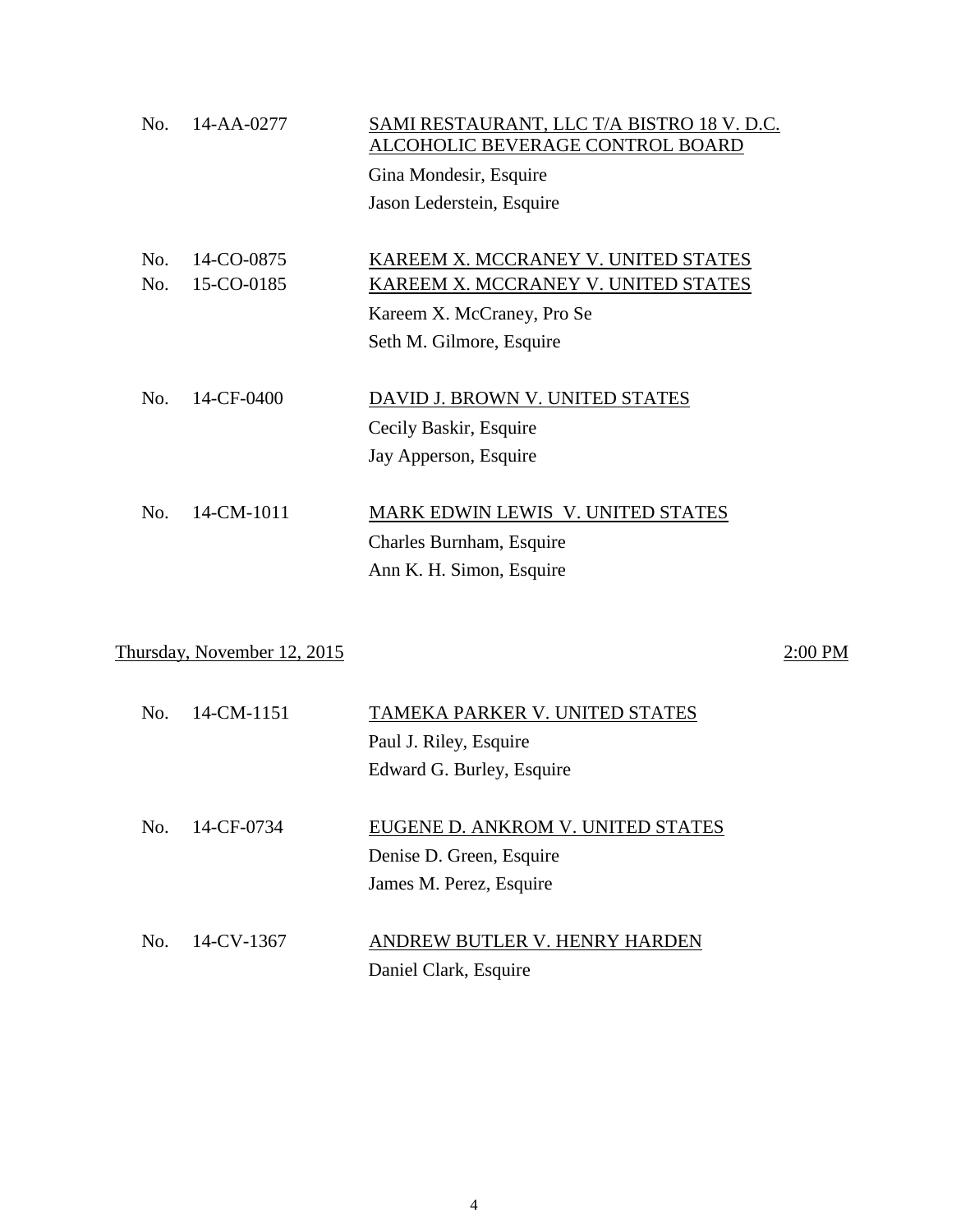| No. | 14-AA-0277 | SAMI RESTAURANT, LLC T/A BISTRO 18 V.D.C.<br>ALCOHOLIC BEVERAGE CONTROL BOARD |
|-----|------------|-------------------------------------------------------------------------------|
|     |            | Gina Mondesir, Esquire                                                        |
|     |            | Jason Lederstein, Esquire                                                     |
|     |            |                                                                               |
| No. | 14-CO-0875 | KAREEM X. MCCRANEY V. UNITED STATES                                           |
| No. | 15-CO-0185 | KAREEM X. MCCRANEY V. UNITED STATES                                           |
|     |            | Kareem X. McCraney, Pro Se                                                    |
|     |            | Seth M. Gilmore, Esquire                                                      |
|     |            |                                                                               |
| No. | 14-CF-0400 | DAVID J. BROWN V. UNITED STATES                                               |
|     |            | Cecily Baskir, Esquire                                                        |
|     |            | Jay Apperson, Esquire                                                         |
|     |            |                                                                               |
| No. | 14-CM-1011 | MARK EDWIN LEWIS V. UNITED STATES                                             |
|     |            | Charles Burnham, Esquire                                                      |
|     |            | Ann K. H. Simon, Esquire                                                      |
|     |            |                                                                               |

# Thursday, November 12, 2015 2:00 PM

| $N_{\Omega}$ | 14-CM-1151 | TAMEKA PARKER V. UNITED STATES    |
|--------------|------------|-----------------------------------|
|              |            | Paul J. Riley, Esquire            |
|              |            | Edward G. Burley, Esquire         |
|              |            |                                   |
| $\rm No$     | 14-CF-0734 | EUGENE D. ANKROM V. UNITED STATES |
|              |            | Denise D. Green, Esquire          |
|              |            | James M. Perez, Esquire           |
|              |            |                                   |
| No.          | 14-CV-1367 | ANDREW BUTLER V. HENRY HARDEN     |
|              |            | Daniel Clark, Esquire             |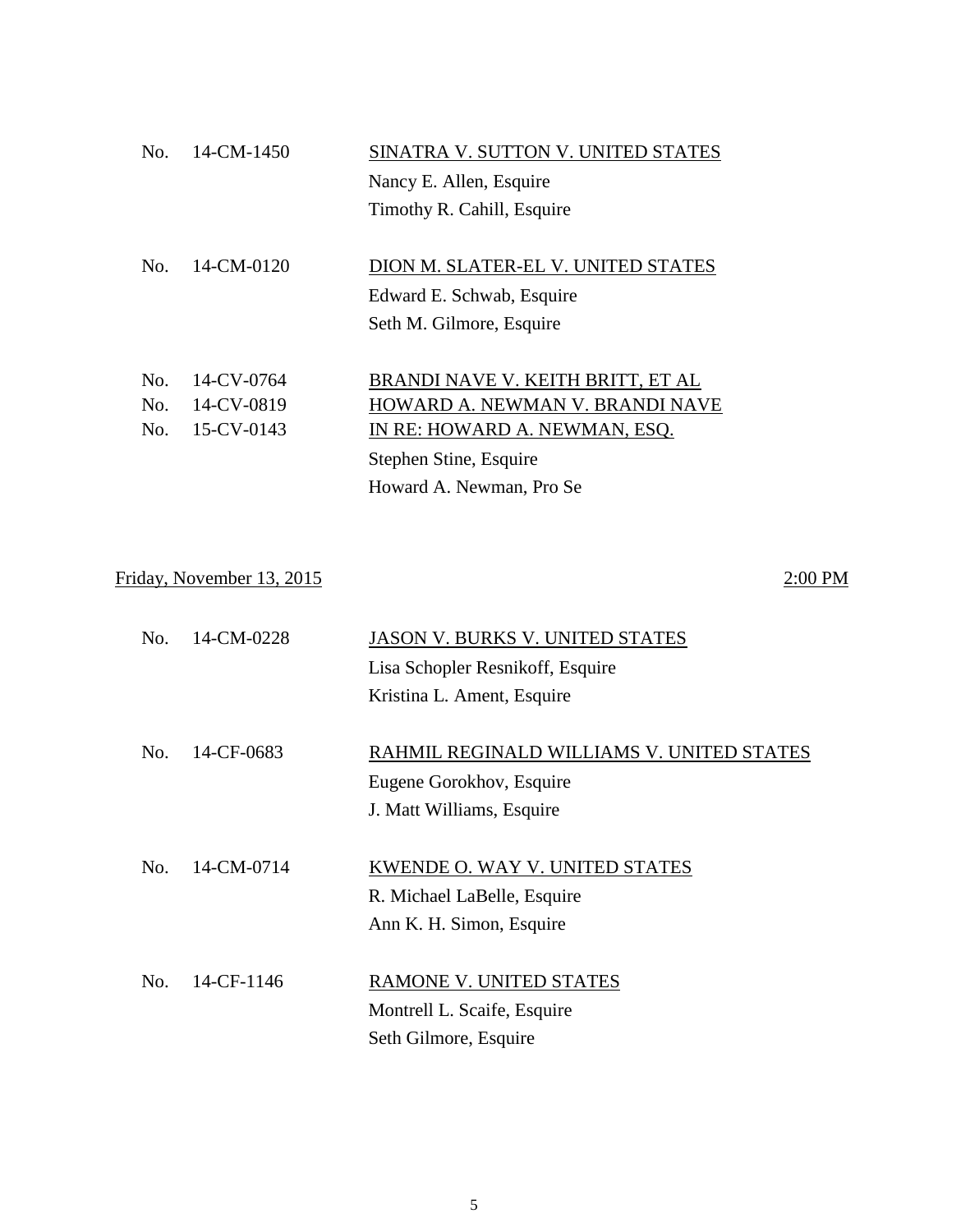| No. | 14-CM-1450 | SINATRA V. SUTTON V. UNITED STATES |
|-----|------------|------------------------------------|
|     |            | Nancy E. Allen, Esquire            |
|     |            | Timothy R. Cahill, Esquire         |
|     |            |                                    |
| No. | 14-CM-0120 | DION M. SLATER-EL V. UNITED STATES |
|     |            | Edward E. Schwab, Esquire          |
|     |            | Seth M. Gilmore, Esquire           |
|     |            |                                    |
| No. | 14-CV-0764 | BRANDI NAVE V. KEITH BRITT, ET AL  |
| No. | 14-CV-0819 | HOWARD A. NEWMAN V. BRANDI NAVE    |
| No. | 15-CV-0143 | IN RE: HOWARD A. NEWMAN, ESQ.      |
|     |            | Stephen Stine, Esquire             |
|     |            | Howard A. Newman, Pro Se           |

# Friday, November 13, 2015 2:00 PM

| No. | 14-CM-0228 | <b>JASON V. BURKS V. UNITED STATES</b>    |
|-----|------------|-------------------------------------------|
|     |            | Lisa Schopler Resnikoff, Esquire          |
|     |            | Kristina L. Ament, Esquire                |
|     |            |                                           |
| No. | 14-CF-0683 | RAHMIL REGINALD WILLIAMS V. UNITED STATES |
|     |            | Eugene Gorokhov, Esquire                  |
|     |            | J. Matt Williams, Esquire                 |
|     |            |                                           |
| No. | 14-CM-0714 | KWENDE O. WAY V. UNITED STATES            |
|     |            | R. Michael LaBelle, Esquire               |
|     |            | Ann K. H. Simon, Esquire                  |
|     |            |                                           |
| No. | 14-CF-1146 | RAMONE V. UNITED STATES                   |
|     |            | Montrell L. Scaife, Esquire               |
|     |            | Seth Gilmore, Esquire                     |
|     |            |                                           |